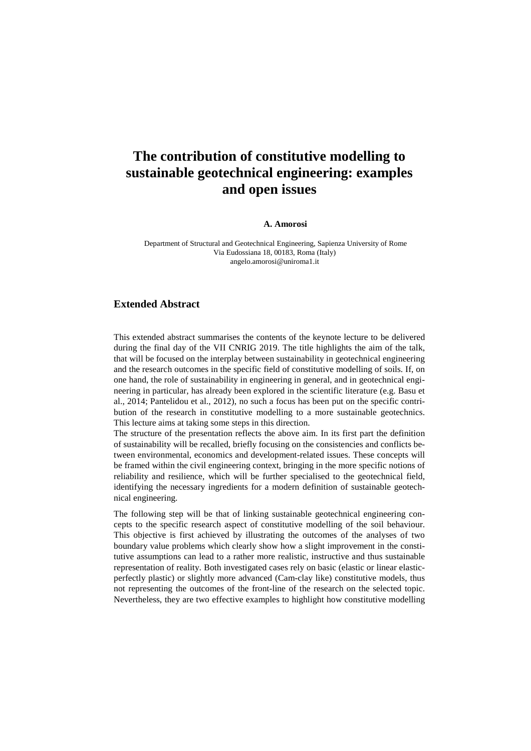## **The contribution of constitutive modelling to sustainable geotechnical engineering: examples and open issues**

## **A. Amorosi**

 Department of Structural and Geotechnical Engineering, Sapienza University of Rome Via Eudossiana 18, 00183, Roma (Italy) angelo.amorosi@uniroma1.it

## **Extended Abstract**

This extended abstract summarises the contents of the keynote lecture to be delivered during the final day of the VII CNRIG 2019. The title highlights the aim of the talk, that will be focused on the interplay between sustainability in geotechnical engineering and the research outcomes in the specific field of constitutive modelling of soils. If, on one hand, the role of sustainability in engineering in general, and in geotechnical engineering in particular, has already been explored in the scientific literature (e.g. Basu et al., 2014; Pantelidou et al., 2012), no such a focus has been put on the specific contribution of the research in constitutive modelling to a more sustainable geotechnics. This lecture aims at taking some steps in this direction.

The structure of the presentation reflects the above aim. In its first part the definition of sustainability will be recalled, briefly focusing on the consistencies and conflicts between environmental, economics and development-related issues. These concepts will be framed within the civil engineering context, bringing in the more specific notions of reliability and resilience, which will be further specialised to the geotechnical field, identifying the necessary ingredients for a modern definition of sustainable geotechnical engineering.

The following step will be that of linking sustainable geotechnical engineering concepts to the specific research aspect of constitutive modelling of the soil behaviour. This objective is first achieved by illustrating the outcomes of the analyses of two boundary value problems which clearly show how a slight improvement in the constitutive assumptions can lead to a rather more realistic, instructive and thus sustainable representation of reality. Both investigated cases rely on basic (elastic or linear elasticperfectly plastic) or slightly more advanced (Cam-clay like) constitutive models, thus not representing the outcomes of the front-line of the research on the selected topic. Nevertheless, they are two effective examples to highlight how constitutive modelling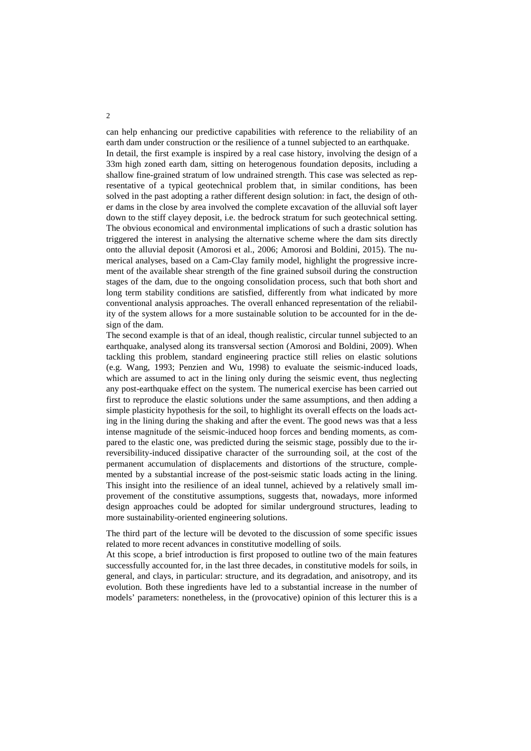can help enhancing our predictive capabilities with reference to the reliability of an earth dam under construction or the resilience of a tunnel subjected to an earthquake.

In detail, the first example is inspired by a real case history, involving the design of a 33m high zoned earth dam, sitting on heterogenous foundation deposits, including a shallow fine-grained stratum of low undrained strength. This case was selected as representative of a typical geotechnical problem that, in similar conditions, has been solved in the past adopting a rather different design solution: in fact, the design of other dams in the close by area involved the complete excavation of the alluvial soft layer down to the stiff clayey deposit, i.e. the bedrock stratum for such geotechnical setting. The obvious economical and environmental implications of such a drastic solution has triggered the interest in analysing the alternative scheme where the dam sits directly onto the alluvial deposit (Amorosi et al., 2006; Amorosi and Boldini, 2015). The numerical analyses, based on a Cam-Clay family model, highlight the progressive increment of the available shear strength of the fine grained subsoil during the construction stages of the dam, due to the ongoing consolidation process, such that both short and long term stability conditions are satisfied, differently from what indicated by more conventional analysis approaches. The overall enhanced representation of the reliability of the system allows for a more sustainable solution to be accounted for in the design of the dam.

The second example is that of an ideal, though realistic, circular tunnel subjected to an earthquake, analysed along its transversal section (Amorosi and Boldini, 2009). When tackling this problem, standard engineering practice still relies on elastic solutions (e.g. Wang, 1993; Penzien and Wu, 1998) to evaluate the seismic-induced loads, which are assumed to act in the lining only during the seismic event, thus neglecting any post-earthquake effect on the system. The numerical exercise has been carried out first to reproduce the elastic solutions under the same assumptions, and then adding a simple plasticity hypothesis for the soil, to highlight its overall effects on the loads acting in the lining during the shaking and after the event. The good news was that a less intense magnitude of the seismic-induced hoop forces and bending moments, as compared to the elastic one, was predicted during the seismic stage, possibly due to the irreversibility-induced dissipative character of the surrounding soil, at the cost of the permanent accumulation of displacements and distortions of the structure, complemented by a substantial increase of the post-seismic static loads acting in the lining. This insight into the resilience of an ideal tunnel, achieved by a relatively small improvement of the constitutive assumptions, suggests that, nowadays, more informed design approaches could be adopted for similar underground structures, leading to more sustainability-oriented engineering solutions.

The third part of the lecture will be devoted to the discussion of some specific issues related to more recent advances in constitutive modelling of soils.

At this scope, a brief introduction is first proposed to outline two of the main features successfully accounted for, in the last three decades, in constitutive models for soils, in general, and clays, in particular: structure, and its degradation, and anisotropy, and its evolution. Both these ingredients have led to a substantial increase in the number of models' parameters: nonetheless, in the (provocative) opinion of this lecturer this is a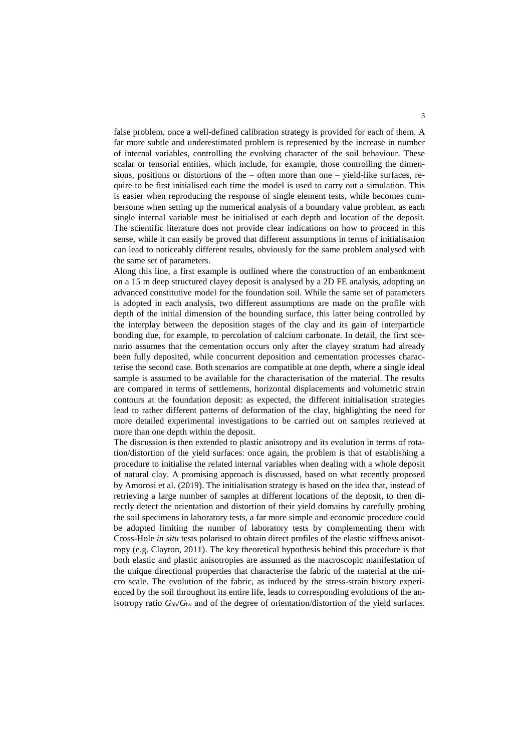false problem, once a well-defined calibration strategy is provided for each of them. A far more subtle and underestimated problem is represented by the increase in number of internal variables, controlling the evolving character of the soil behaviour. These scalar or tensorial entities, which include, for example, those controlling the dimensions, positions or distortions of the – often more than one – yield-like surfaces, require to be first initialised each time the model is used to carry out a simulation. This is easier when reproducing the response of single element tests, while becomes cumbersome when setting up the numerical analysis of a boundary value problem, as each single internal variable must be initialised at each depth and location of the deposit. The scientific literature does not provide clear indications on how to proceed in this sense, while it can easily be proved that different assumptions in terms of initialisation can lead to noticeably different results, obviously for the same problem analysed with the same set of parameters.

Along this line, a first example is outlined where the construction of an embankment on a 15 m deep structured clayey deposit is analysed by a 2D FE analysis, adopting an advanced constitutive model for the foundation soil. While the same set of parameters is adopted in each analysis, two different assumptions are made on the profile with depth of the initial dimension of the bounding surface, this latter being controlled by the interplay between the deposition stages of the clay and its gain of interparticle bonding due, for example, to percolation of calcium carbonate. In detail, the first scenario assumes that the cementation occurs only after the clayey stratum had already been fully deposited, while concurrent deposition and cementation processes characterise the second case. Both scenarios are compatible at one depth, where a single ideal sample is assumed to be available for the characterisation of the material. The results are compared in terms of settlements, horizontal displacements and volumetric strain contours at the foundation deposit: as expected, the different initialisation strategies lead to rather different patterns of deformation of the clay, highlighting the need for more detailed experimental investigations to be carried out on samples retrieved at more than one depth within the deposit.

The discussion is then extended to plastic anisotropy and its evolution in terms of rotation/distortion of the yield surfaces: once again, the problem is that of establishing a procedure to initialise the related internal variables when dealing with a whole deposit of natural clay. A promising approach is discussed, based on what recently proposed by Amorosi et al. (2019). The initialisation strategy is based on the idea that, instead of retrieving a large number of samples at different locations of the deposit, to then directly detect the orientation and distortion of their yield domains by carefully probing the soil specimens in laboratory tests, a far more simple and economic procedure could be adopted limiting the number of laboratory tests by complementing them with Cross-Hole *in situ* tests polarised to obtain direct profiles of the elastic stiffness anisotropy (e.g. Clayton, 2011). The key theoretical hypothesis behind this procedure is that both elastic and plastic anisotropies are assumed as the macroscopic manifestation of the unique directional properties that characterise the fabric of the material at the micro scale. The evolution of the fabric, as induced by the stress-strain history experienced by the soil throughout its entire life, leads to corresponding evolutions of the anisotropy ratio *G*hh/*G*hv and of the degree of orientation/distortion of the yield surfaces.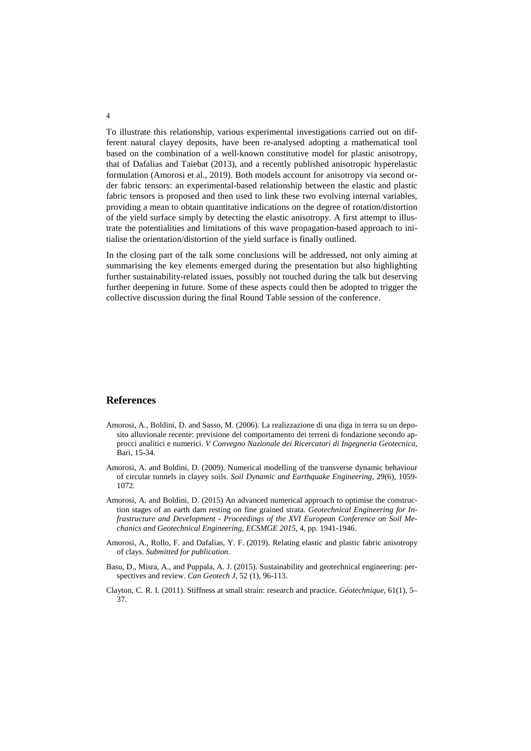To illustrate this relationship, various experimental investigations carried out on different natural clayey deposits, have been re-analysed adopting a mathematical tool based on the combination of a well-known constitutive model for plastic anisotropy, that of Dafalias and Taiebat (2013), and a recently published anisotropic hyperelastic formulation (Amorosi et al., 2019). Both models account for anisotropy via second order fabric tensors: an experimental-based relationship between the elastic and plastic fabric tensors is proposed and then used to link these two evolving internal variables, providing a mean to obtain quantitative indications on the degree of rotation/distortion of the yield surface simply by detecting the elastic anisotropy. A first attempt to illustrate the potentialities and limitations of this wave propagation-based approach to initialise the orientation/distortion of the yield surface is finally outlined.

In the closing part of the talk some conclusions will be addressed, not only aiming at summarising the key elements emerged during the presentation but also highlighting further sustainability-related issues, possibly not touched during the talk but deserving further deepening in future. Some of these aspects could then be adopted to trigger the collective discussion during the final Round Table session of the conference.

## **References**

- Amorosi, A., Boldini, D. and Sasso, M. (2006). La realizzazione di una diga in terra su un deposito alluvionale recente: previsione del comportamento dei terreni di fondazione secondo approcci analitici e numerici. *V Convegno Nazionale dei Ricercatori di Ingegneria Geotecnica*, Bari, 15-34.
- Amorosi, A. and Boldini, D. (2009). Numerical modelling of the transverse dynamic behaviour of circular tunnels in clayey soils. *Soil Dynamic and Earthquake Engineering*, 29(6), 1059- 1072*.*
- Amorosi, A. and Boldini, D. (2015) An advanced numerical approach to optimise the construction stages of an earth dam resting on fine grained strata. *Geotechnical Engineering for Infrastructure and Development - Proceedings of the XVI European Conference on Soil Mechanics and Geotechnical Engineering, ECSMGE 2015*, 4, pp. 1941-1946.
- Amorosi, A., Rollo, F. and Dafalias, Y. F. (2019). Relating elastic and plastic fabric anisotropy of clays. *Submitted for publication*.
- Basu, D., Misra, A., and Puppala, A. J. (2015). Sustainability and geotechnical engineering: perspectives and review. *Can Geotech J*, 52 (1), 96-113.
- Clayton, C. R. I. (2011). Stiffness at small strain: research and practice. *Géotechnique*, 61(1), 5– 37.

4